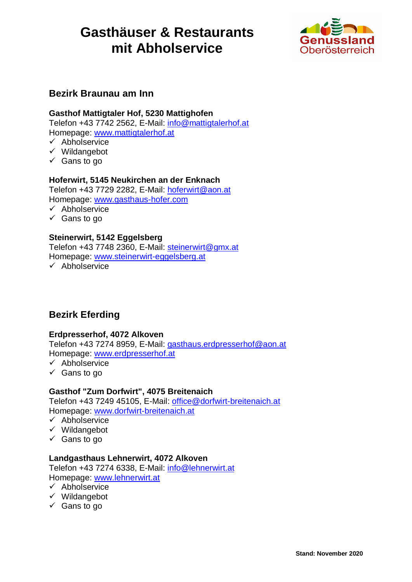

### **Bezirk Braunau am Inn**

#### **Gasthof Mattigtaler Hof, 5230 Mattighofen**

Telefon +43 7742 2562, E-Mail: info@mattigtalerhof.at Homepage: www.mattigtalerhof.at

- $\checkmark$  Abholservice
- $\checkmark$  Wildangebot
- $\checkmark$  Gans to go

#### **Hoferwirt, 5145 Neukirchen an der Enknach**

Telefon +43 7729 2282, E-Mail: hoferwirt@aon.at Homepage: www.gasthaus-hofer.com

- $\checkmark$  Abholservice
- $\checkmark$  Gans to go

#### **Steinerwirt, 5142 Eggelsberg**

Telefon +43 7748 2360, E-Mail: steinerwirt@gmx.at Homepage: www.steinerwirt-eggelsberg.at

 $\checkmark$  Abholservice

### **Bezirk Eferding**

#### **Erdpresserhof, 4072 Alkoven**

Telefon +43 7274 8959, E-Mail: gasthaus.erdpresserhof@aon.at Homepage: www.erdpresserhof.at

- $\checkmark$  Abholservice
- $\checkmark$  Gans to go

#### **Gasthof "Zum Dorfwirt", 4075 Breitenaich**

Telefon +43 7249 45105, E-Mail: office@dorfwirt-breitenaich.at Homepage: www.dorfwirt-breitenaich.at

- $\checkmark$  Abholservice
- $\checkmark$  Wildangebot
- $\checkmark$  Gans to go

#### **Landgasthaus Lehnerwirt, 4072 Alkoven**

Telefon +43 7274 6338, E-Mail: info@lehnerwirt.at Homepage: www.lehnerwirt.at

- $\checkmark$  Abholservice
- $\checkmark$  Wildangebot
- $\checkmark$  Gans to go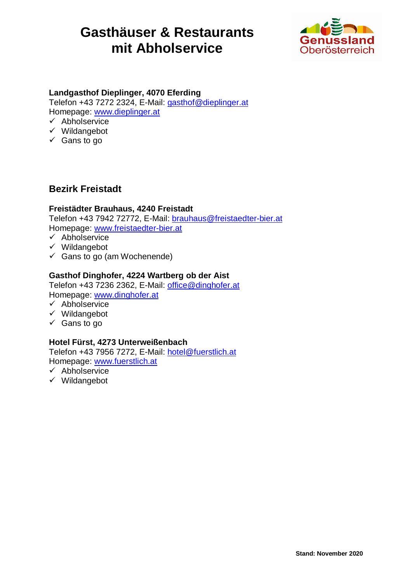

### **Landgasthof Dieplinger, 4070 Eferding**

Telefon +43 7272 2324, E-Mail: gasthof@dieplinger.at Homepage: www.dieplinger.at

- $\checkmark$  Abholservice
- $\checkmark$  Wildangebot
- $\checkmark$  Gans to go

### **Bezirk Freistadt**

#### **Freistädter Brauhaus, 4240 Freistadt**

Telefon +43 7942 72772, E-Mail: brauhaus@freistaedter-bier.at Homepage: www.freistaedter-bier.at

- $\checkmark$  Abholservice
- $\checkmark$  Wildangebot
- $\checkmark$  Gans to go (am Wochenende)

#### **Gasthof Dinghofer, 4224 Wartberg ob der Aist**

Telefon +43 7236 2362, E-Mail: office@dinghofer.at Homepage: www.dinghofer.at

- $\checkmark$  Abholservice
- $\checkmark$  Wildangebot
- $\checkmark$  Gans to go

#### **Hotel Fürst, 4273 Unterweißenbach**

Telefon +43 7956 7272, E-Mail: hotel@fuerstlich.at Homepage: www.fuerstlich.at

- $\checkmark$  Abholservice
- $\checkmark$  Wildangebot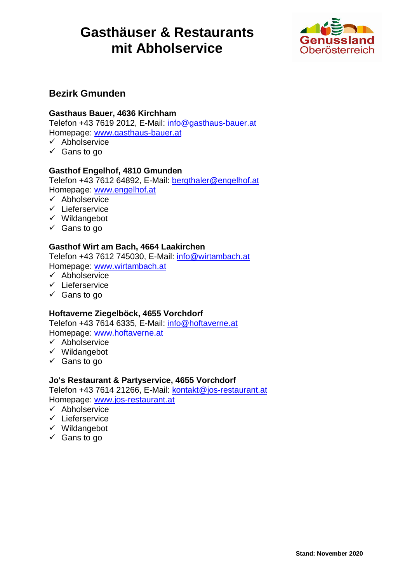

### **Bezirk Gmunden**

#### **Gasthaus Bauer, 4636 Kirchham**

Telefon +43 7619 2012, E-Mail: info@gasthaus-bauer.at Homepage: www.gasthaus-bauer.at

 $\checkmark$  Abholservice

 $\checkmark$  Gans to go

#### **Gasthof Engelhof, 4810 Gmunden**

Telefon +43 7612 64892, E-Mail: bergthaler@engelhof.at Homepage: www.engelhof.at

- $\checkmark$  Abholservice
- $\checkmark$  Lieferservice
- $\checkmark$  Wildangebot
- $\checkmark$  Gans to go

#### **Gasthof Wirt am Bach, 4664 Laakirchen**

Telefon +43 7612 745030, E-Mail: info@wirtambach.at Homepage: www.wirtambach.at

- $\checkmark$  Abholservice
- $\checkmark$  Lieferservice
- $\checkmark$  Gans to go

#### **Hoftaverne Ziegelböck, 4655 Vorchdorf**

Telefon +43 7614 6335, E-Mail: info@hoftaverne.at Homepage: www.hoftaverne.at

- $\checkmark$  Abholservice
- $\checkmark$  Wildangebot
- $\checkmark$  Gans to go

#### **Jo's Restaurant & Partyservice, 4655 Vorchdorf**

Telefon +43 7614 21266, E-Mail: kontakt@jos-restaurant.at Homepage: www.jos-restaurant.at

- $\checkmark$  Abholservice
- $\checkmark$  Lieferservice
- $\checkmark$  Wildangebot
- $\checkmark$  Gans to go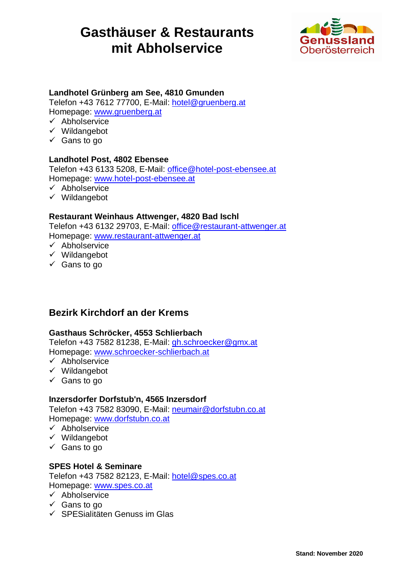

#### **Landhotel Grünberg am See, 4810 Gmunden**

Telefon +43 7612 77700, E-Mail: hotel@gruenberg.at Homepage: www.gruenberg.at

- $\checkmark$  Abholservice
- $\checkmark$  Wildangebot
- $\checkmark$  Gans to go

#### **Landhotel Post, 4802 Ebensee**

Telefon +43 6133 5208, E-Mail: office@hotel-post-ebensee.at Homepage: www.hotel-post-ebensee.at

- $\checkmark$  Abholservice
- $\checkmark$  Wildangebot

#### **Restaurant Weinhaus Attwenger, 4820 Bad Ischl**

Telefon +43 6132 29703, E-Mail: office@restaurant-attwenger.at Homepage: www.restaurant-attwenger.at

- $\checkmark$  Abholservice
- $\checkmark$  Wildangebot
- $\checkmark$  Gans to go

### **Bezirk Kirchdorf an der Krems**

#### **Gasthaus Schröcker, 4553 Schlierbach**

Telefon +43 7582 81238, E-Mail: gh.schroecker@gmx.at Homepage: www.schroecker-schlierbach.at

- $\checkmark$  Abholservice
- $\checkmark$  Wildangebot
- $\checkmark$  Gans to go

#### **Inzersdorfer Dorfstub'n, 4565 Inzersdorf**

Telefon +43 7582 83090, E-Mail: neumair@dorfstubn.co.at Homepage: www.dorfstubn.co.at

- $\checkmark$  Abholservice
- $\checkmark$  Wildangebot
- $\checkmark$  Gans to go

#### **SPES Hotel & Seminare**

Telefon +43 7582 82123, E-Mail: hotel@spes.co.at Homepage: www.spes.co.at

- $\checkmark$  Abholservice
- $\checkmark$  Gans to go
- $\checkmark$  SPESialitäten Genuss im Glas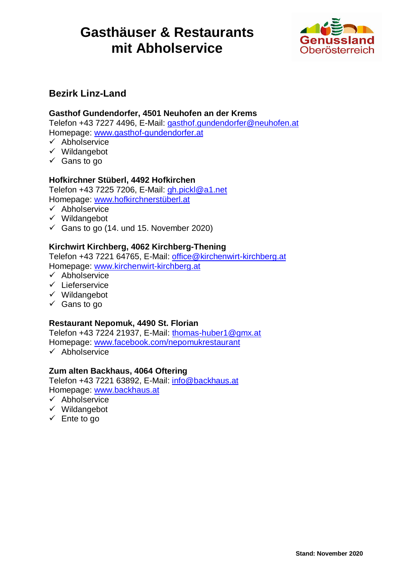

### **Bezirk Linz-Land**

#### **Gasthof Gundendorfer, 4501 Neuhofen an der Krems**

Telefon +43 7227 4496, E-Mail: gasthof.gundendorfer@neuhofen.at Homepage: www.gasthof-gundendorfer.at

 $\checkmark$  Abholservice

- $\checkmark$  Wildangebot
- $\checkmark$  Gans to go

#### **Hofkirchner Stüberl, 4492 Hofkirchen**

Telefon +43 7225 7206, E-Mail: gh.pickl@a1.net Homepage: www.hofkirchnerstüberl.at

- $\checkmark$  Abholservice
- $\checkmark$  Wildangebot
- $\checkmark$  Gans to go (14. und 15. November 2020)

#### **Kirchwirt Kirchberg, 4062 Kirchberg-Thening**

Telefon +43 7221 64765, E-Mail: office@kirchenwirt-kirchberg.at Homepage: www.kirchenwirt-kirchberg.at

- $\checkmark$  Abholservice
- $\checkmark$  Lieferservice
- $\checkmark$  Wildangebot
- $\checkmark$  Gans to go

#### **Restaurant Nepomuk, 4490 St. Florian**

Telefon +43 7224 21937, E-Mail: thomas-huber1@gmx.at Homepage: www.facebook.com/nepomukrestaurant

 $\checkmark$  Abholservice

#### **Zum alten Backhaus, 4064 Oftering**

Telefon +43 7221 63892, E-Mail: info@backhaus.at Homepage: www.backhaus.at

- $\checkmark$  Abholservice
- $\checkmark$  Wildangebot
- $\checkmark$  Ente to go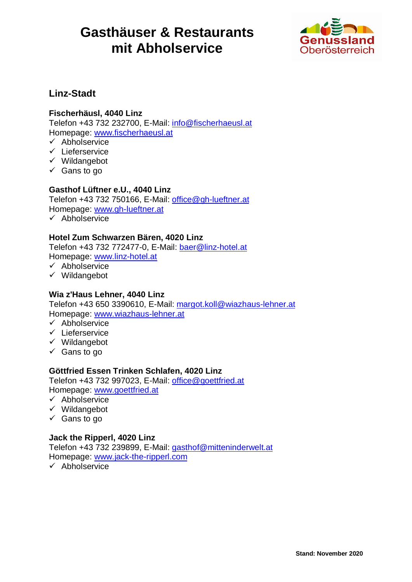

## **Linz-Stadt**

#### **Fischerhäusl, 4040 Linz**

Telefon +43 732 232700, E-Mail: info@fischerhaeusl.at Homepage: www.fischerhaeusl.at

 $\checkmark$  Abholservice

- $\checkmark$  Lieferservice
- $\checkmark$  Wildangebot
- $\checkmark$  Gans to go

#### **Gasthof Lüftner e.U., 4040 Linz**

Telefon +43 732 750166, E-Mail: office@gh-lueftner.at Homepage: www.gh-lueftner.at

 $\checkmark$  Abholservice

#### **Hotel Zum Schwarzen Bären, 4020 Linz**

Telefon +43 732 772477-0, E-Mail: baer@linz-hotel.at Homepage: www.linz-hotel.at

- $\checkmark$  Abholservice
- $\checkmark$  Wildangebot

#### **Wia z'Haus Lehner, 4040 Linz**

Telefon +43 650 3390610, E-Mail: margot.koll@wiazhaus-lehner.at Homepage: www.wiazhaus-lehner.at

- $\checkmark$  Abholservice
- $\checkmark$  Lieferservice
- $\checkmark$  Wildangebot
- $\checkmark$  Gans to go

#### **Göttfried Essen Trinken Schlafen, 4020 Linz**

Telefon +43 732 997023, E-Mail: office@goettfried.at Homepage: www.goettfried.at

- $\checkmark$  Abholservice
- $\checkmark$  Wildangebot
- $\checkmark$  Gans to go

#### **Jack the Ripperl, 4020 Linz**

Telefon +43 732 239899, E-Mail: gasthof@mitteninderwelt.at Homepage: www.jack-the-ripperl.com

 $\checkmark$  Abholservice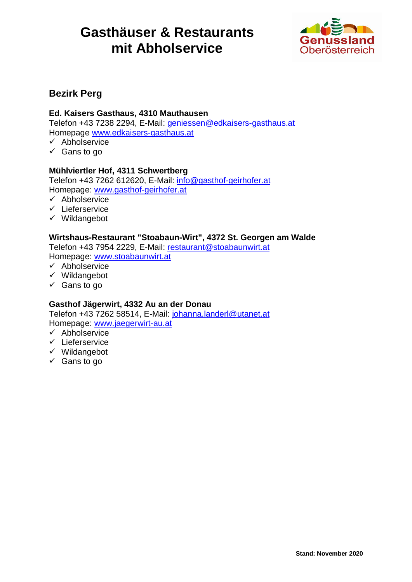

## **Bezirk Perg**

#### **Ed. Kaisers Gasthaus, 4310 Mauthausen**

Telefon +43 7238 2294, E-Mail: geniessen@edkaisers-gasthaus.at Homepage www.edkaisers-gasthaus.at

 $\checkmark$  Abholservice

 $\checkmark$  Gans to go

#### **Mühlviertler Hof, 4311 Schwertberg**

Telefon +43 7262 612620, E-Mail: info@gasthof-geirhofer.at Homepage: www.gasthof-geirhofer.at

- $\checkmark$  Abholservice
- $\checkmark$  Lieferservice
- $\checkmark$  Wildangebot

#### **Wirtshaus-Restaurant "Stoabaun-Wirt", 4372 St. Georgen am Walde**

Telefon +43 7954 2229, E-Mail: restaurant@stoabaunwirt.at Homepage: www.stoabaunwirt.at

- $\checkmark$  Abholservice
- $\checkmark$  Wildangebot
- $\checkmark$  Gans to go

#### **Gasthof Jägerwirt, 4332 Au an der Donau**

Telefon +43 7262 58514, E-Mail: johanna.landerl@utanet.at Homepage: www.jaegerwirt-au.at

- $\times$  Abholservice
- $\checkmark$  Lieferservice
- $\checkmark$  Wildangebot
- $\checkmark$  Gans to go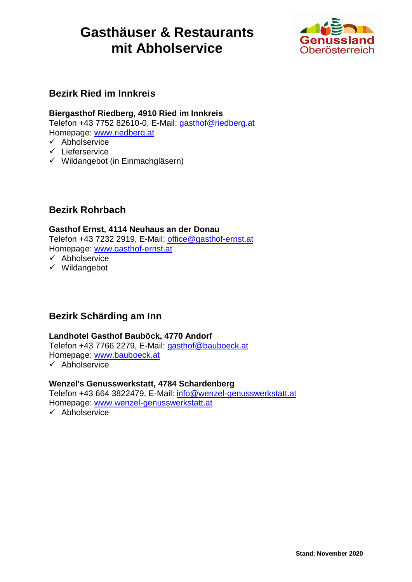

## **Bezirk Ried im Innkreis**

### **Biergasthof Riedberg, 4910 Ried im Innkreis**

Telefon +43 7752 82610-0, E-Mail: gasthof@riedberg.at Homepage: www.riedberg.at

- $\checkmark$  Abholservice
- $\checkmark$  Lieferservice
- $\checkmark$  Wildangebot (in Einmachgläsern)

## **Bezirk Rohrbach**

#### **Gasthof Ernst, 4114 Neuhaus an der Donau**

Telefon +43 7232 2919, E-Mail: office@gasthof-ernst.at Homepage: www.gasthof-ernst.at

- $\checkmark$  Abholservice
- $\checkmark$  Wildangebot

## **Bezirk Schärding am Inn**

#### **Landhotel Gasthof Bauböck, 4770 Andorf**

Telefon +43 7766 2279, E-Mail: gasthof@bauboeck.at Homepage: www.bauboeck.at

 $\checkmark$  Abholservice

### **Wenzel's Genusswerkstatt, 4784 Schardenberg**

Telefon +43 664 3822479, E-Mail: info@wenzel-genusswerkstatt.at Homepage: www.wenzel-genusswerkstatt.at

 $\checkmark$  Abholservice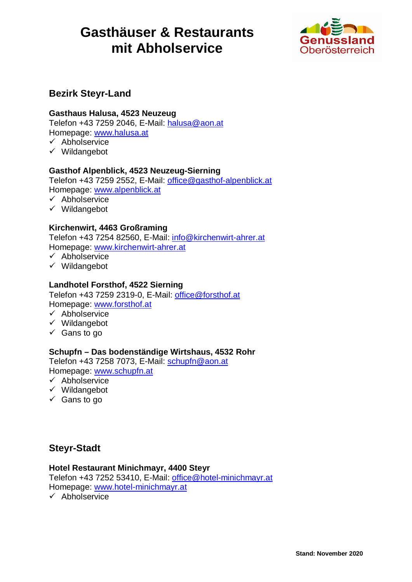

## **Bezirk Steyr-Land**

#### **Gasthaus Halusa, 4523 Neuzeug**

Telefon +43 7259 2046, E-Mail: halusa@aon.at Homepage: www.halusa.at

- $\checkmark$  Abholservice
- $\checkmark$  Wildangebot

#### **Gasthof Alpenblick, 4523 Neuzeug-Sierning**

Telefon +43 7259 2552, E-Mail: office@gasthof-alpenblick.at Homepage: www.alpenblick.at

- $\checkmark$  Abholservice
- $\checkmark$  Wildangebot

#### **Kirchenwirt, 4463 Großraming**

Telefon +43 7254 82560, E-Mail: info@kirchenwirt-ahrer.at Homepage: www.kirchenwirt-ahrer.at

- $\checkmark$  Abholservice
- $\checkmark$  Wildangebot

#### **Landhotel Forsthof, 4522 Sierning**

Telefon +43 7259 2319-0, E-Mail: office@forsthof.at Homepage: www.forsthof.at

- $\checkmark$  Abholservice
- $\checkmark$  Wildangebot
- $\checkmark$  Gans to go

#### **Schupfn – Das bodenständige Wirtshaus, 4532 Rohr**

Telefon +43 7258 7073, E-Mail: schupfn@aon.at Homepage: www.schupfn.at

- $\checkmark$  Abholservice
- $\checkmark$  Wildangebot
- $\checkmark$  Gans to go

### **Steyr-Stadt**

#### **Hotel Restaurant Minichmayr, 4400 Steyr**

Telefon +43 7252 53410, E-Mail: office@hotel-minichmayr.at Homepage: www.hotel-minichmayr.at

 $\checkmark$  Abholservice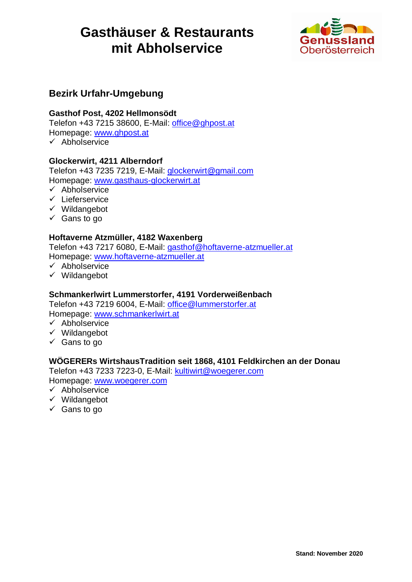

## **Bezirk Urfahr-Umgebung**

#### **Gasthof Post, 4202 Hellmonsödt**

Telefon +43 7215 38600, E-Mail: office@ghpost.at Homepage: www.ghpost.at  $\checkmark$  Abholservice

#### **Glockerwirt, 4211 Alberndorf**

Telefon +43 7235 7219, E-Mail: glockerwirt@gmail.com Homepage: www.gasthaus-glockerwirt.at

- $\times$  Abholservice
- $\checkmark$  Lieferservice
- $\checkmark$  Wildangebot
- $\checkmark$  Gans to go

#### **Hoftaverne Atzmüller, 4182 Waxenberg**

Telefon +43 7217 6080, E-Mail: gasthof@hoftaverne-atzmueller.at Homepage: www.hoftaverne-atzmueller.at

- $\checkmark$  Abholservice
- $\checkmark$  Wildangebot

#### **Schmankerlwirt Lummerstorfer, 4191 Vorderweißenbach**

Telefon +43 7219 6004, E-Mail: office@lummerstorfer.at Homepage: www.schmankerlwirt.at

- $\checkmark$  Abholservice
- $\checkmark$  Wildangebot
- $\checkmark$  Gans to go

#### **WÖGERERs WirtshausTradition seit 1868, 4101 Feldkirchen an der Donau**

Telefon +43 7233 7223-0, E-Mail: kultiwirt@woegerer.com Homepage: www.woegerer.com

- $\checkmark$  Abholservice
- $\checkmark$  Wildangebot
- $\checkmark$  Gans to go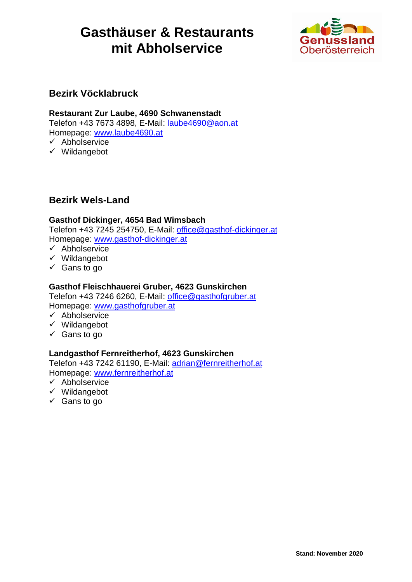

### **Bezirk Vöcklabruck**

#### **Restaurant Zur Laube, 4690 Schwanenstadt**

Telefon +43 7673 4898, E-Mail: laube4690@aon.at Homepage: www.laube4690.at  $\checkmark$  Abholservice

 $\checkmark$  Wildangebot

## **Bezirk Wels-Land**

#### **Gasthof Dickinger, 4654 Bad Wimsbach**

Telefon +43 7245 254750, E-Mail: office@gasthof-dickinger.at Homepage: www.gasthof-dickinger.at

- $\checkmark$  Abholservice
- $\checkmark$  Wildangebot
- $\checkmark$  Gans to go

#### **Gasthof Fleischhauerei Gruber, 4623 Gunskirchen**

Telefon +43 7246 6260, E-Mail: office@gasthofgruber.at Homepage: www.gasthofgruber.at

- $\checkmark$  Abholservice
- $\checkmark$  Wildangebot
- $\checkmark$  Gans to go

#### **Landgasthof Fernreitherhof, 4623 Gunskirchen**

Telefon +43 7242 61190, E-Mail: adrian@fernreitherhof.at Homepage: www.fernreitherhof.at

- $\checkmark$  Abholservice
- $\checkmark$  Wildangebot
- $\checkmark$  Gans to go